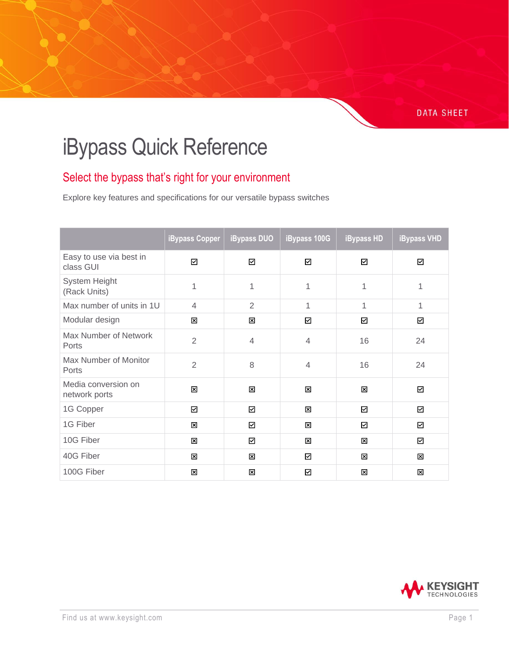## **DATA SHEET**

## iBypass Quick Reference

## Select the bypass that's right for your environment

Explore key features and specifications for our versatile bypass switches

|                                      | <b>iBypass Copper</b> | <b>iBypass DUO</b> | iBypass 100G   | <b>iBypass HD</b> | <b>iBypass VHD</b> |
|--------------------------------------|-----------------------|--------------------|----------------|-------------------|--------------------|
| Easy to use via best in<br>class GUI | ☑                     | ☑                  | ☑              | ☑                 | ☑                  |
| System Height<br>(Rack Units)        | 1                     | 1                  | 1              | 1                 | 1                  |
| Max number of units in 1U            | $\overline{4}$        | $\overline{2}$     | 1              | 1                 | 1                  |
| Modular design                       | ⊠                     | ⊠                  | ☑              | ☑                 | ☑                  |
| Max Number of Network<br>Ports       | $\overline{2}$        | $\overline{4}$     | 4              | 16                | 24                 |
| Max Number of Monitor<br>Ports       | $\overline{2}$        | 8                  | $\overline{4}$ | 16                | 24                 |
| Media conversion on<br>network ports | 図                     | 図                  | ⊠              | 図                 | ☑                  |
| 1G Copper                            | ☑                     | ☑                  | ⊠              | ☑                 | ☑                  |
| 1G Fiber                             | ⊠                     | ☑                  | ⊠              | ☑                 | ☑                  |
| 10G Fiber                            | 図                     | ☑                  | 区              | 図                 | ☑                  |
| 40G Fiber                            | ⊠                     | 図                  | ☑              | 図                 | ⊠                  |
| 100G Fiber                           | ⊠                     | ⊠                  | ☑              | ⊠                 | ⊠                  |

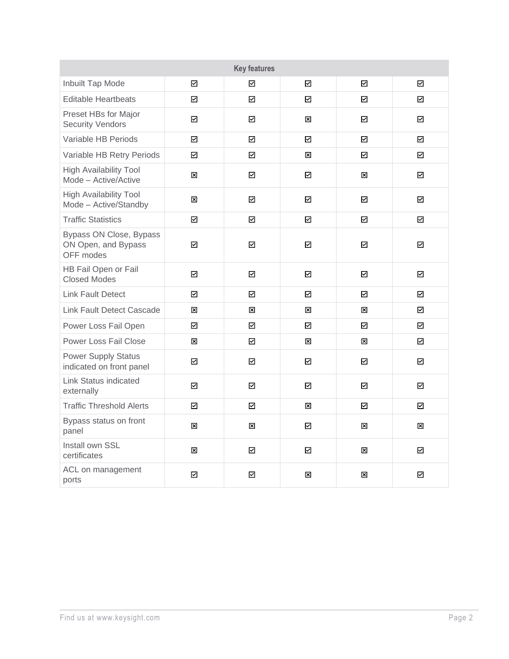| <b>Key features</b>                                         |                         |             |             |   |   |
|-------------------------------------------------------------|-------------------------|-------------|-------------|---|---|
| Inbuilt Tap Mode                                            | ☑                       | ☑           | ☑           | ☑ | ☑ |
| <b>Editable Heartbeats</b>                                  | ☑                       | ☑           | ☑           | ☑ | 罓 |
| Preset HBs for Major<br><b>Security Vendors</b>             | ☑                       | ☑           | ⊠           | ☑ | ☑ |
| Variable HB Periods                                         | $\overline{\mathbf{z}}$ | ☑           | ☑           | ☑ | ☑ |
| Variable HB Retry Periods                                   | ☑                       | ☑           | 冈           | ☑ | ☑ |
| <b>High Availability Tool</b><br>Mode - Active/Active       | 囟                       | ☑           | ☑           | 図 | ☑ |
| <b>High Availability Tool</b><br>Mode - Active/Standby      | $\boxtimes$             | ☑           | ☑           | ☑ | ☑ |
| <b>Traffic Statistics</b>                                   | $\overline{\mathbf{z}}$ | $\boxtimes$ | ☑           | ☑ | ☑ |
| Bypass ON Close, Bypass<br>ON Open, and Bypass<br>OFF modes | $\overline{\mathbb{M}}$ | ☑           | ☑           | ☑ | ☑ |
| HB Fail Open or Fail<br><b>Closed Modes</b>                 | ☑                       | $\boxtimes$ | ☑           | ☑ | ☑ |
| <b>Link Fault Detect</b>                                    | ☑                       | ☑           | ☑           | ☑ | ☑ |
| <b>Link Fault Detect Cascade</b>                            | $\mathbf{\overline{x}}$ | 図           | 図           | ⊠ | ☑ |
| Power Loss Fail Open                                        | ☑                       | ☑           | ☑           | ☑ | ☑ |
| <b>Power Loss Fail Close</b>                                | 図                       | ☑           | $\boxtimes$ | 図 | ☑ |
| <b>Power Supply Status</b><br>indicated on front panel      | ☑                       | ☑           | ☑           | ☑ | ☑ |
| Link Status indicated<br>externally                         | ☑                       | ☑           | ☑           | ☑ | 罓 |
| <b>Traffic Threshold Alerts</b>                             | ☑                       | $\boxtimes$ | 区           | ☑ | ☑ |
| Bypass status on front<br>panel                             | 図                       | 図           | ☑           | 図 | 図 |
| Install own SSL<br>certificates                             | ⊠                       | ☑           | ☑           | ⊠ | ☑ |
| ACL on management<br>ports                                  | ☑                       | ☑           | ⊠           | ⊠ | ☑ |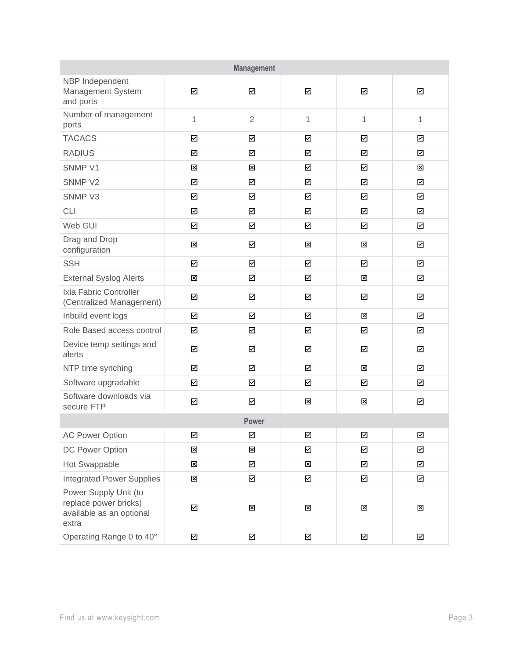| <b>Management</b>                                                                   |                         |                         |                          |                         |                         |  |
|-------------------------------------------------------------------------------------|-------------------------|-------------------------|--------------------------|-------------------------|-------------------------|--|
| NBP Independent<br>Management System<br>and ports                                   | ☑                       | ☑                       | ☑                        | $\overline{\mathbb{Z}}$ | ☑                       |  |
| Number of management<br>ports                                                       | 1                       | $\overline{2}$          | $\mathbf{1}$             | $\mathbf 1$             | 1                       |  |
| <b>TACACS</b>                                                                       | $\boxdot$               | $\boxtimes$             | ☑                        | ☑                       | ☑                       |  |
| <b>RADIUS</b>                                                                       | $\boxdot$               | ☑                       | ☑                        | ☑                       | $\boxdot$               |  |
| SNMP V1                                                                             | 図                       | 図                       | ☑                        | ☑                       | 図                       |  |
| SNMP V2                                                                             | $\overline{\mathbb{M}}$ | ☑                       | ☑                        | $\overline{\mathbf{y}}$ | $\boxtimes$             |  |
| SNMP <sub>V3</sub>                                                                  | $\boxdot$               | ☑                       | $\overline{\phantom{0}}$ | ☑                       | ☑                       |  |
| <b>CLI</b>                                                                          | $\boxdot$               | $\boxtimes$             | ☑                        | ☑                       | $\boxdot$               |  |
| Web GUI                                                                             | ☑                       | ☑                       | ☑                        | ☑                       | $\overline{\mathbf{y}}$ |  |
| Drag and Drop<br>configuration                                                      | 図                       | ☑                       | 図                        | 図                       | ☑                       |  |
| <b>SSH</b>                                                                          | ☑                       | $\boxtimes$             | ☑                        | ☑                       | $\overline{\mathbf{S}}$ |  |
| <b>External Syslog Alerts</b>                                                       | 図                       | $\boxtimes$             | ☑                        | 図                       | $\overline{\mathbb{Z}}$ |  |
| Ixia Fabric Controller<br>(Centralized Management)                                  | ☑                       | ☑                       | ☑                        | $\triangleright$        | $\boxtimes$             |  |
| Inbuild event logs                                                                  | ☑                       | ☑                       | ☑                        | ⊠                       | ☑                       |  |
| Role Based access control                                                           | $\boxdot$               | $\boxtimes$             | ☑                        | $\triangleright$        | $\overline{\mathbb{M}}$ |  |
| Device temp settings and<br>alerts                                                  | ☑                       | ☑                       | ☑                        | ☑                       | ☑                       |  |
| NTP time synching                                                                   | $\boxdot$               | $\boxtimes$             | $\boxtimes$              | 図                       | $\overline{\mathbf{z}}$ |  |
| Software upgradable                                                                 | ☑                       | ☑                       | ☑                        | ☑                       | ☑                       |  |
| Software downloads via<br>secure FTP                                                | ☑                       | ☑                       | 図                        | 図                       | ☑                       |  |
| <b>Power</b>                                                                        |                         |                         |                          |                         |                         |  |
| <b>AC Power Option</b>                                                              | ☑                       | ☑                       | ☑                        | ☑                       | ☑                       |  |
| DC Power Option                                                                     | 図                       | 図                       | ☑                        | $\boxdot$               | $\overline{\mathbb{M}}$ |  |
| Hot Swappable                                                                       | 図                       | $\boxtimes$             | $\mathbf{\overline{x}}$  | ☑                       | $\boxtimes$             |  |
| <b>Integrated Power Supplies</b>                                                    | 図                       | ☑                       | ☑                        | ☑                       | ☑                       |  |
| Power Supply Unit (to<br>replace power bricks)<br>available as an optional<br>extra | $\boxtimes$             | $\mathbf{\overline{x}}$ | $\boxtimes$              | $\boxtimes$             | $\mathbf{\overline{x}}$ |  |
| Operating Range 0 to 40°                                                            | $\boxtimes$             | $\boxtimes$             | $\boxtimes$              | $\boxdot$               | $\boxtimes$             |  |